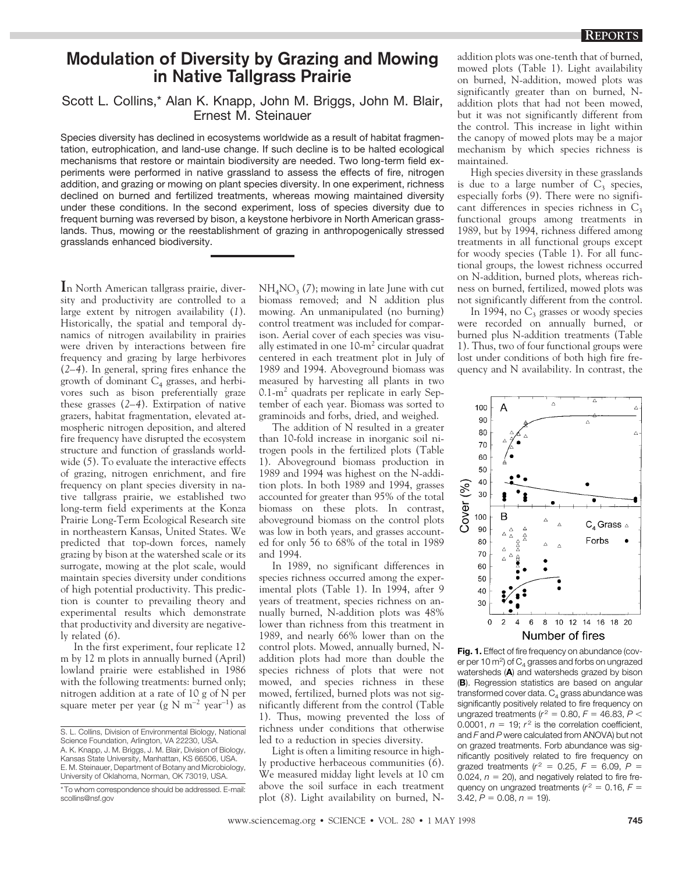## **Modulation of Diversity by Grazing and Mowing in Native Tallgrass Prairie**

## Scott L. Collins,\* Alan K. Knapp, John M. Briggs, John M. Blair, Ernest M. Steinauer

Species diversity has declined in ecosystems worldwide as a result of habitat fragmentation, eutrophication, and land-use change. If such decline is to be halted ecological mechanisms that restore or maintain biodiversity are needed. Two long-term field experiments were performed in native grassland to assess the effects of fire, nitrogen addition, and grazing or mowing on plant species diversity. In one experiment, richness declined on burned and fertilized treatments, whereas mowing maintained diversity under these conditions. In the second experiment, loss of species diversity due to frequent burning was reversed by bison, a keystone herbivore in North American grasslands. Thus, mowing or the reestablishment of grazing in anthropogenically stressed grasslands enhanced biodiversity.

**I**n North American tallgrass prairie, diversity and productivity are controlled to a large extent by nitrogen availability (*1*). Historically, the spatial and temporal dynamics of nitrogen availability in prairies were driven by interactions between fire frequency and grazing by large herbivores (*2–4*). In general, spring fires enhance the growth of dominant  $C_4$  grasses, and herbivores such as bison preferentially graze these grasses (*2–4*). Extirpation of native grazers, habitat fragmentation, elevated atmospheric nitrogen deposition, and altered fire frequency have disrupted the ecosystem structure and function of grasslands worldwide (*5*). To evaluate the interactive effects of grazing, nitrogen enrichment, and fire frequency on plant species diversity in native tallgrass prairie, we established two long-term field experiments at the Konza Prairie Long-Term Ecological Research site in northeastern Kansas, United States. We predicted that top-down forces, namely grazing by bison at the watershed scale or its surrogate, mowing at the plot scale, would maintain species diversity under conditions of high potential productivity. This prediction is counter to prevailing theory and experimental results which demonstrate that productivity and diversity are negatively related (*6*).

In the first experiment, four replicate 12 m by 12 m plots in annually burned (April) lowland prairie were established in 1986 with the following treatments: burned only; nitrogen addition at a rate of 10 g of N per square meter per year (g N  $m^{-2}$  year<sup>-1</sup>) as  $NH<sub>4</sub>NO<sub>3</sub>$  (7); mowing in late June with cut biomass removed; and N addition plus mowing. An unmanipulated (no burning) control treatment was included for comparison. Aerial cover of each species was visually estimated in one 10-m2 circular quadrat centered in each treatment plot in July of 1989 and 1994. Aboveground biomass was measured by harvesting all plants in two  $0.1-m<sup>2</sup>$  quadrats per replicate in early September of each year. Biomass was sorted to graminoids and forbs, dried, and weighed.

The addition of N resulted in a greater than 10-fold increase in inorganic soil nitrogen pools in the fertilized plots (Table 1). Aboveground biomass production in 1989 and 1994 was highest on the N-addition plots. In both 1989 and 1994, grasses accounted for greater than 95% of the total biomass on these plots. In contrast, aboveground biomass on the control plots was low in both years, and grasses accounted for only 56 to 68% of the total in 1989 and 1994.

In 1989, no significant differences in species richness occurred among the experimental plots (Table 1). In 1994, after 9 years of treatment, species richness on annually burned, N-addition plots was 48% lower than richness from this treatment in 1989, and nearly 66% lower than on the control plots. Mowed, annually burned, Naddition plots had more than double the species richness of plots that were not mowed, and species richness in these mowed, fertilized, burned plots was not significantly different from the control (Table 1). Thus, mowing prevented the loss of richness under conditions that otherwise led to a reduction in species diversity.

Light is often a limiting resource in highly productive herbaceous communities (*6*). We measured midday light levels at 10 cm above the soil surface in each treatment plot (*8*). Light availability on burned, N- addition plots was one-tenth that of burned, mowed plots (Table 1). Light availability on burned, N-addition, mowed plots was significantly greater than on burned, Naddition plots that had not been mowed, but it was not significantly different from the control. This increase in light within the canopy of mowed plots may be a major mechanism by which species richness is maintained.

High species diversity in these grasslands is due to a large number of  $C_3$  species, especially forbs (*9*). There were no significant differences in species richness in  $C_3$ functional groups among treatments in 1989, but by 1994, richness differed among treatments in all functional groups except for woody species (Table 1). For all functional groups, the lowest richness occurred on N-addition, burned plots, whereas richness on burned, fertilized, mowed plots was not significantly different from the control.

In 1994, no  $C_3$  grasses or woody species were recorded on annually burned, or burned plus N-addition treatments (Table 1). Thus, two of four functional groups were lost under conditions of both high fire frequency and N availability. In contrast, the



Fig. 1. Effect of fire frequency on abundance (cover per 10 m<sup>2</sup>) of  $C_4$  grasses and forbs on ungrazed watersheds (**A**) and watersheds grazed by bison (**B**). Regression statistics are based on angular transformed cover data.  $C_4$  grass abundance was significantly positively related to fire frequency on ungrazed treatments ( $r^2 = 0.80$ ,  $F = 46.83$ ,  $P <$ 0.0001,  $n = 19$ ;  $r^2$  is the correlation coefficient, and *F* and *P* were calculated from ANOVA) but not on grazed treatments. Forb abundance was significantly positively related to fire frequency on grazed treatments  $(r^2 = 0.25, F = 6.09, P =$ 0.024,  $n = 20$ ), and negatively related to fire frequency on ungrazed treatments ( $r^2 = 0.16$ ,  $F =$  $3.42, P = 0.08, n = 19$ .

S. L. Collins, Division of Environmental Biology, National Science Foundation, Arlington, VA 22230, USA. A. K. Knapp, J. M. Briggs, J. M. Blair, Division of Biology, Kansas State University, Manhattan, KS 66506, USA. E. M. Steinauer, Department of Botany and Microbiology, University of Oklahoma, Norman, OK 73019, USA.

<sup>\*</sup>To whom correspondence should be addressed. E-mail: scollins@nsf.gov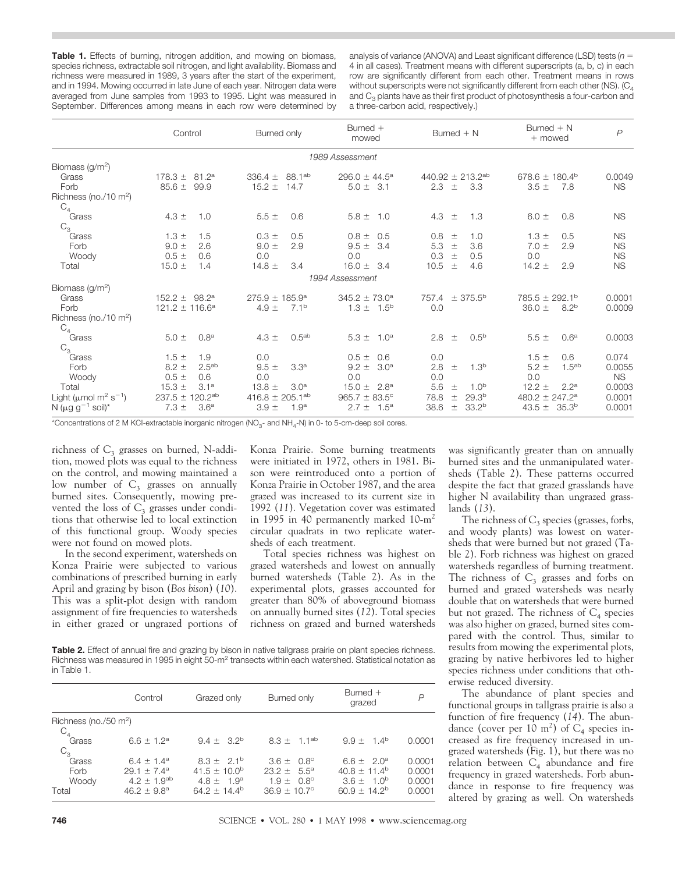Table 1. Effects of burning, nitrogen addition, and mowing on biomass, species richness, extractable soil nitrogen, and light availability. Biomass and richness were measured in 1989, 3 years after the start of the experiment, and in 1994. Mowing occurred in late June of each year. Nitrogen data were averaged from June samples from 1993 to 1995. Light was measured in September. Differences among means in each row were determined by

analysis of variance (ANOVA) and Least significant difference (LSD) tests (*n* 5 4 in all cases). Treatment means with different superscripts (a, b, c) in each row are significantly different from each other. Treatment means in rows without superscripts were not significantly different from each other (NS).  $(C_4)$ and  $C_3$  plants have as their first product of photosynthesis a four-carbon and a three-carbon acid, respectively.)

|                                                    | Control                        | Burned only                       | Burned +<br>mowed               | Burned $+ N$                       | $Burned + N$<br>+ mowed        | $\overline{P}$ |
|----------------------------------------------------|--------------------------------|-----------------------------------|---------------------------------|------------------------------------|--------------------------------|----------------|
|                                                    |                                |                                   | 1989 Assessment                 |                                    |                                |                |
| Biomass ( $g/m^2$ )                                |                                |                                   |                                 |                                    |                                |                |
| Grass                                              | 178.3 $\pm$<br>$81.2^a$        | 88.1 <sup>ab</sup><br>336.4 $\pm$ | 296.0 $\pm$ 44.5 <sup>a</sup>   | 440.92 $\pm$ 213.2ab               | 678.6 $\pm$ 180.4 <sup>b</sup> | 0.0049         |
| Forb                                               | $85.6 \pm$<br>99.9             | 14.7<br>$15.2 \pm$                | $5.0 \pm 3.1$                   | 2.3<br>$\pm$<br>3.3                | $3.5 +$<br>7.8                 | <b>NS</b>      |
| Richness (no./10 m <sup>2</sup> )<br>$C_4$ Grass   |                                |                                   |                                 |                                    |                                |                |
|                                                    | $4.3 \pm$<br>1.0               | $5.5 \pm$<br>0.6                  | $5.8 \pm 1.0$                   | 4.3<br>1.3<br>$\pm$                | 0.8<br>$6.0 \pm$               | <b>NS</b>      |
| $C_3$                                              |                                |                                   |                                 |                                    |                                |                |
| Grass                                              | $1.3 \pm$<br>1.5               | 0.5<br>$0.3 \pm$                  | $0.8 \pm$<br>0.5                | 0.8<br>1.0<br>$\pm$                | $1.3 \pm$<br>0.5               | <b>NS</b>      |
| Forb                                               | 2.6<br>$9.0 \pm$               | 2.9<br>$9.0 +$                    | $9.5 \pm$<br>-3.4               | 5.3<br>3.6<br>$\pm$                | $7.0 \pm$<br>2.9               | <b>NS</b>      |
| Woody                                              | $0.5 =$<br>0.6                 | 0.0                               | 0.0                             | 0.3<br>0.5<br>$\pm$                | 0.0                            | <b>NS</b>      |
| Total                                              | $15.0 \pm$<br>1.4              | 14.8 $\pm$<br>3.4                 | $16.0 \pm 3.4$                  | 10.5<br>4.6<br>$\pm$               | 14.2 $\pm$<br>2.9              | <b>NS</b>      |
|                                                    |                                |                                   | 1994 Assessment                 |                                    |                                |                |
| Biomass ( $g/m2$ )                                 |                                |                                   |                                 |                                    |                                |                |
| Grass                                              | $152.2 \pm 98.2^a$             | $275.9 \pm 185.9^a$               | $345.2 \pm 73.0^a$              | $757.4 \pm 375.5^b$                | $785.5 \pm 292.1^{\circ}$      | 0.0001         |
| Forb                                               | $121.2 \pm 116.6^a$            | $7.1^{\rm b}$<br>$4.9 \pm$        | $1.3 \pm 1.5^{\circ}$           | 0.0                                | 8.2 <sup>b</sup><br>$36.0 \pm$ | 0.0009         |
| Richness (no./10 m <sup>2</sup> )                  |                                |                                   |                                 |                                    |                                |                |
| $C_4$                                              |                                |                                   |                                 |                                    |                                |                |
| Grass                                              | 0.8 <sup>a</sup><br>$5.0 \pm$  | 0.5 <sup>ab</sup><br>$4.3 \pm$    | $5.3 \pm 1.0^a$                 | 2.8<br>0.5 <sup>b</sup><br>$\pm$   | $5.5 \pm$<br>0.6 <sup>a</sup>  | 0.0003         |
| $C_3$                                              |                                |                                   |                                 |                                    |                                |                |
| Grass                                              | $1.5 =$<br>1.9                 | 0.0                               | 0.6<br>$0.5 =$                  | 0.0                                | $1.5 \pm$<br>0.6               | 0.074          |
| Forb                                               | 2.5 <sup>ab</sup><br>$8.2 \pm$ | $9.5 +$<br>3.3 <sup>a</sup>       | 3.0 <sup>a</sup><br>$9.2 \pm$   | 1.3 <sup>b</sup><br>2.8<br>$\pm$   | $5.2 \pm$<br>1.5 <sup>ab</sup> | 0.0055         |
| Woody                                              | $0.5 =$<br>0.6                 | 0.0                               | 0.0                             | 0.0                                | 0.0                            | <b>NS</b>      |
| Total                                              | 3.1 <sup>a</sup><br>$15.3 +$   | 3.0 <sup>a</sup><br>$13.8 \pm$    | 2.8 <sup>a</sup><br>15.0 $\pm$  | 5.6<br>1.0 <sup>b</sup><br>土       | $12.2 \pm$<br>2.2 <sup>a</sup> | 0.0003         |
| Light ( $\mu$ mol m <sup>2</sup> s <sup>-1</sup> ) | $120.2^{ab}$<br>237.5 $\pm$    | $416.8 \pm 205.1^{ab}$            | $965.7 \pm 83.5^{\circ}$        | 78.8<br>29.3 <sup>b</sup><br>$\pm$ | 480.2 $\pm$ 247.2 <sup>a</sup> | 0.0001         |
| N ( $\mu$ g g <sup>-1</sup> soil)*                 | $7.3 +$<br>3.6 <sup>a</sup>    | $3.9 +$<br>1.9 <sup>a</sup>       | $2.7 \pm$<br>$1.5^{\mathrm{a}}$ | 38.6<br>33.2 <sup>b</sup><br>$\pm$ | $43.5 \pm 35.3^b$              | 0.0001         |

\*Concentrations of 2 M KCI-extractable inorganic nitrogen ( $NO<sub>3</sub>$ - and  $NH<sub>4</sub>$ -N) in 0- to 5-cm-deep soil cores.

richness of  $C_3$  grasses on burned, N-addition, mowed plots was equal to the richness on the control, and mowing maintained a low number of  $C_3$  grasses on annually burned sites. Consequently, mowing prevented the loss of  $C_3$  grasses under conditions that otherwise led to local extinction of this functional group. Woody species were not found on mowed plots.

In the second experiment, watersheds on Konza Prairie were subjected to various combinations of prescribed burning in early April and grazing by bison (*Bos bison*) (*10*). This was a split-plot design with random assignment of fire frequencies to watersheds in either grazed or ungrazed portions of Konza Prairie. Some burning treatments were initiated in 1972, others in 1981. Bison were reintroduced onto a portion of Konza Prairie in October 1987, and the area grazed was increased to its current size in 1992 (*11*). Vegetation cover was estimated in 1995 in 40 permanently marked 10-m<sup>2</sup> circular quadrats in two replicate watersheds of each treatment.

Total species richness was highest on grazed watersheds and lowest on annually burned watersheds (Table 2). As in the experimental plots, grasses accounted for greater than 80% of aboveground biomass on annually burned sites (*12*). Total species richness on grazed and burned watersheds

**Table 2.** Effect of annual fire and grazing by bison in native tallgrass prairie on plant species richness. Richness was measured in 1995 in eight 50-m<sup>2</sup> transects within each watershed. Statistical notation as in Table 1.

|                                   | Control                                                                              | Grazed only                                                                      | Burned only                                                                           | Burned $+$<br>grazed                                                                          | P                                    |
|-----------------------------------|--------------------------------------------------------------------------------------|----------------------------------------------------------------------------------|---------------------------------------------------------------------------------------|-----------------------------------------------------------------------------------------------|--------------------------------------|
| Richness (no./50 m <sup>2</sup> ) |                                                                                      |                                                                                  |                                                                                       |                                                                                               |                                      |
| $C_4$ Grass<br>$C_3$              | $6.6 \pm 1.2^a$                                                                      | $9.4 \pm 3.2^b$                                                                  | $8.3 + 1.1^{ab}$                                                                      | $9.9 + 1.4^b$                                                                                 | 0.0001                               |
| Grass<br>Forb<br>Woody<br>Total   | $6.4 + 1.4^a$<br>$29.1 \pm 7.4^a$<br>$4.2 \pm 1.9$ <sup>ab</sup><br>$46.2 \pm 9.8^a$ | $8.3 + 2.1^{b}$<br>$41.5 \pm 10.0^{\circ}$<br>$4.8 \pm 1.9^a$<br>$64.2 + 14.4^b$ | $3.6 \pm 0.8^{\circ}$<br>$23.2 \pm 5.5^a$<br>$1.9 + 0.8^{\circ}$<br>$36.9 \pm 10.7$ ° | 6.6 $\pm$ 2.0 <sup>a</sup><br>$40.8 \pm 11.4^{\circ}$<br>$3.6 \pm 1.0^{b}$<br>$60.9 + 14.2^b$ | 0.0001<br>0.0001<br>0.0001<br>0.0001 |

was significantly greater than on annually burned sites and the unmanipulated watersheds (Table 2). These patterns occurred despite the fact that grazed grasslands have higher N availability than ungrazed grasslands (*13*).

The richness of  $C_3$  species (grasses, forbs, and woody plants) was lowest on watersheds that were burned but not grazed (Table 2). Forb richness was highest on grazed watersheds regardless of burning treatment. The richness of  $C_3$  grasses and forbs on burned and grazed watersheds was nearly double that on watersheds that were burned but not grazed. The richness of  $C_4$  species was also higher on grazed, burned sites compared with the control. Thus, similar to results from mowing the experimental plots, grazing by native herbivores led to higher species richness under conditions that otherwise reduced diversity.

The abundance of plant species and functional groups in tallgrass prairie is also a function of fire frequency (*14*). The abundance (cover per 10 m<sup>2</sup>) of  $C_4$  species increased as fire frequency increased in ungrazed watersheds (Fig. 1), but there was no relation between  $C_4$  abundance and fire frequency in grazed watersheds. Forb abundance in response to fire frequency was altered by grazing as well. On watersheds